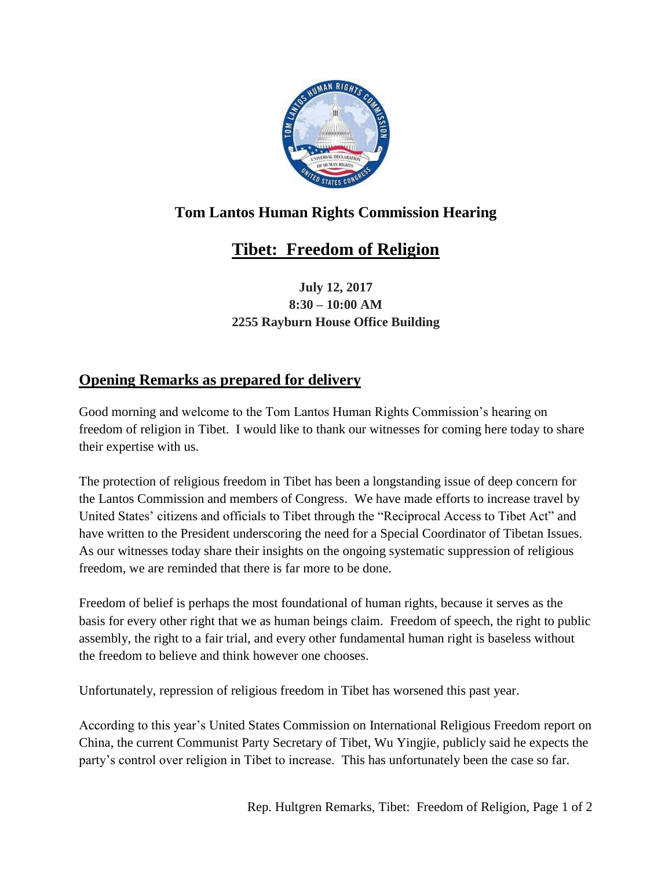

## **Tom Lantos Human Rights Commission Hearing**

## **Tibet: Freedom of Religion**

**July 12, 2017 8:30 – 10:00 AM 2255 Rayburn House Office Building**

## **Opening Remarks as prepared for delivery**

Good morning and welcome to the Tom Lantos Human Rights Commission's hearing on freedom of religion in Tibet. I would like to thank our witnesses for coming here today to share their expertise with us.

The protection of religious freedom in Tibet has been a longstanding issue of deep concern for the Lantos Commission and members of Congress. We have made efforts to increase travel by United States' citizens and officials to Tibet through the "Reciprocal Access to Tibet Act" and have written to the President underscoring the need for a Special Coordinator of Tibetan Issues. As our witnesses today share their insights on the ongoing systematic suppression of religious freedom, we are reminded that there is far more to be done.

Freedom of belief is perhaps the most foundational of human rights, because it serves as the basis for every other right that we as human beings claim. Freedom of speech, the right to public assembly, the right to a fair trial, and every other fundamental human right is baseless without the freedom to believe and think however one chooses.

Unfortunately, repression of religious freedom in Tibet has worsened this past year.

According to this year's United States Commission on International Religious Freedom report on China, the current Communist Party Secretary of Tibet, Wu Yingjie, publicly said he expects the party's control over religion in Tibet to increase. This has unfortunately been the case so far.